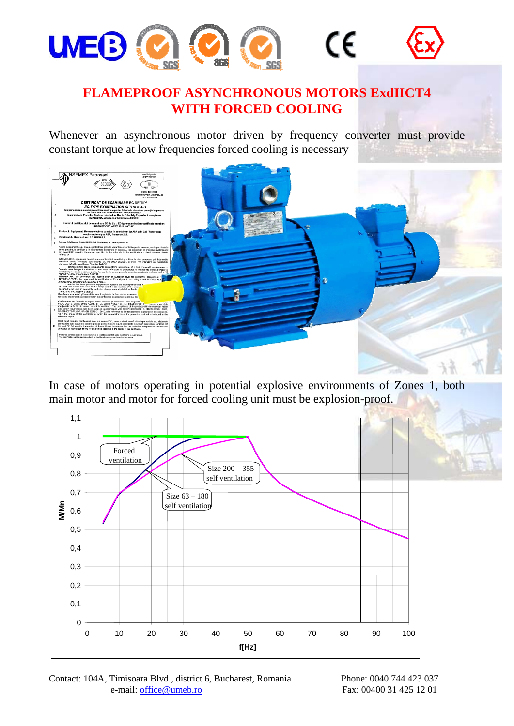

## **FLAMEPROOF ASYNCHRONOUS MOTORS ExdIICT4 WITH FORCED COOLING**

Whenever an asynchronous motor driven by frequency converter must provide constant torque at low frequencies forced cooling is necessary



In case of motors operating in potential explosive environments of Zones 1, both main motor and motor for forced cooling unit must be explosion-proof.



Contact: 104A, Timisoara Blvd., district 6, Bucharest, Romania Phone: 0040 744 423 037 e-mail: office@umeb.ro

Fax: 00400 31 425 12 01